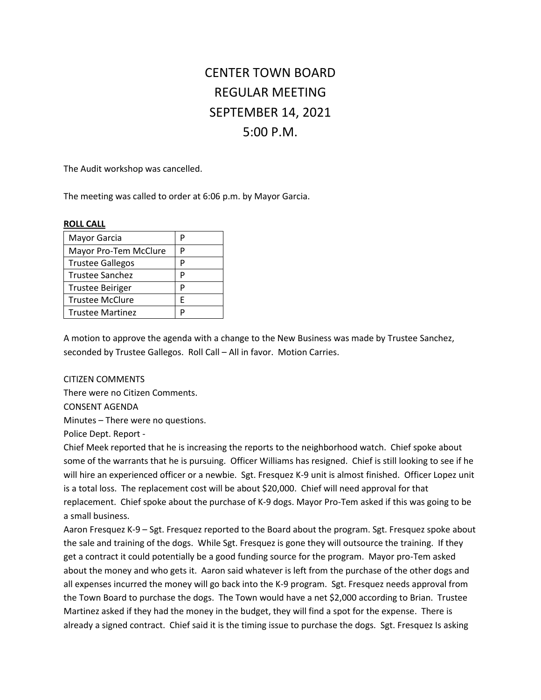# CENTER TOWN BOARD REGULAR MEETING SEPTEMBER 14, 2021 5:00 P.M.

The Audit workshop was cancelled.

The meeting was called to order at 6:06 p.m. by Mayor Garcia.

#### **ROLL CALL**

| Mayor Garcia            | р |
|-------------------------|---|
| Mayor Pro-Tem McClure   | р |
| <b>Trustee Gallegos</b> | P |
| Trustee Sanchez         | P |
| <b>Trustee Beiriger</b> | D |
| <b>Trustee McClure</b>  | F |
| <b>Trustee Martinez</b> | D |

A motion to approve the agenda with a change to the New Business was made by Trustee Sanchez, seconded by Trustee Gallegos. Roll Call – All in favor. Motion Carries.

#### CITIZEN COMMENTS

There were no Citizen Comments.

CONSENT AGENDA

Minutes – There were no questions.

Police Dept. Report -

Chief Meek reported that he is increasing the reports to the neighborhood watch. Chief spoke about some of the warrants that he is pursuing. Officer Williams has resigned. Chief is still looking to see if he will hire an experienced officer or a newbie. Sgt. Fresquez K-9 unit is almost finished. Officer Lopez unit is a total loss. The replacement cost will be about \$20,000. Chief will need approval for that replacement. Chief spoke about the purchase of K-9 dogs. Mayor Pro-Tem asked if this was going to be a small business.

Aaron Fresquez K-9 – Sgt. Fresquez reported to the Board about the program. Sgt. Fresquez spoke about the sale and training of the dogs. While Sgt. Fresquez is gone they will outsource the training. If they get a contract it could potentially be a good funding source for the program. Mayor pro-Tem asked about the money and who gets it. Aaron said whatever is left from the purchase of the other dogs and all expenses incurred the money will go back into the K-9 program. Sgt. Fresquez needs approval from the Town Board to purchase the dogs. The Town would have a net \$2,000 according to Brian. Trustee Martinez asked if they had the money in the budget, they will find a spot for the expense. There is already a signed contract. Chief said it is the timing issue to purchase the dogs. Sgt. Fresquez Is asking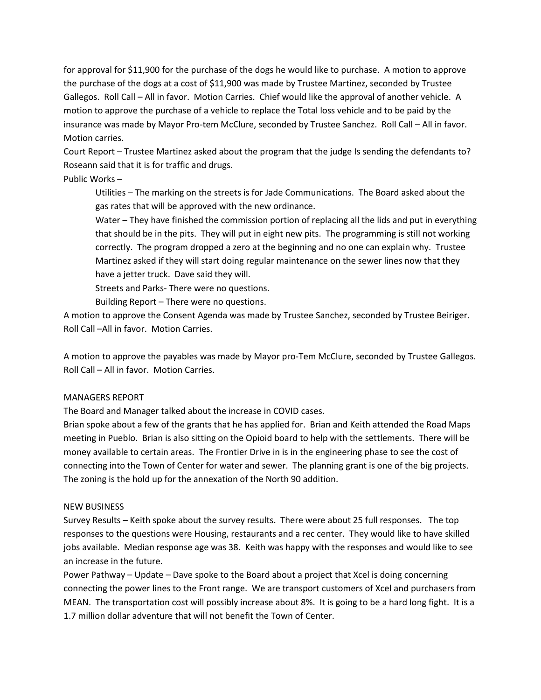for approval for \$11,900 for the purchase of the dogs he would like to purchase. A motion to approve the purchase of the dogs at a cost of \$11,900 was made by Trustee Martinez, seconded by Trustee Gallegos. Roll Call – All in favor. Motion Carries. Chief would like the approval of another vehicle. A motion to approve the purchase of a vehicle to replace the Total loss vehicle and to be paid by the insurance was made by Mayor Pro-tem McClure, seconded by Trustee Sanchez. Roll Call – All in favor. Motion carries.

Court Report – Trustee Martinez asked about the program that the judge Is sending the defendants to? Roseann said that it is for traffic and drugs.

Public Works –

Utilities – The marking on the streets is for Jade Communications. The Board asked about the gas rates that will be approved with the new ordinance.

Water – They have finished the commission portion of replacing all the lids and put in everything that should be in the pits. They will put in eight new pits. The programming is still not working correctly. The program dropped a zero at the beginning and no one can explain why. Trustee Martinez asked if they will start doing regular maintenance on the sewer lines now that they have a jetter truck. Dave said they will.

Streets and Parks- There were no questions.

Building Report – There were no questions.

A motion to approve the Consent Agenda was made by Trustee Sanchez, seconded by Trustee Beiriger. Roll Call –All in favor. Motion Carries.

A motion to approve the payables was made by Mayor pro-Tem McClure, seconded by Trustee Gallegos. Roll Call – All in favor. Motion Carries.

## MANAGERS REPORT

The Board and Manager talked about the increase in COVID cases.

Brian spoke about a few of the grants that he has applied for. Brian and Keith attended the Road Maps meeting in Pueblo. Brian is also sitting on the Opioid board to help with the settlements. There will be money available to certain areas. The Frontier Drive in is in the engineering phase to see the cost of connecting into the Town of Center for water and sewer. The planning grant is one of the big projects. The zoning is the hold up for the annexation of the North 90 addition.

## NEW BUSINESS

Survey Results – Keith spoke about the survey results. There were about 25 full responses. The top responses to the questions were Housing, restaurants and a rec center. They would like to have skilled jobs available. Median response age was 38. Keith was happy with the responses and would like to see an increase in the future.

Power Pathway – Update – Dave spoke to the Board about a project that Xcel is doing concerning connecting the power lines to the Front range. We are transport customers of Xcel and purchasers from MEAN. The transportation cost will possibly increase about 8%. It is going to be a hard long fight. It is a 1.7 million dollar adventure that will not benefit the Town of Center.